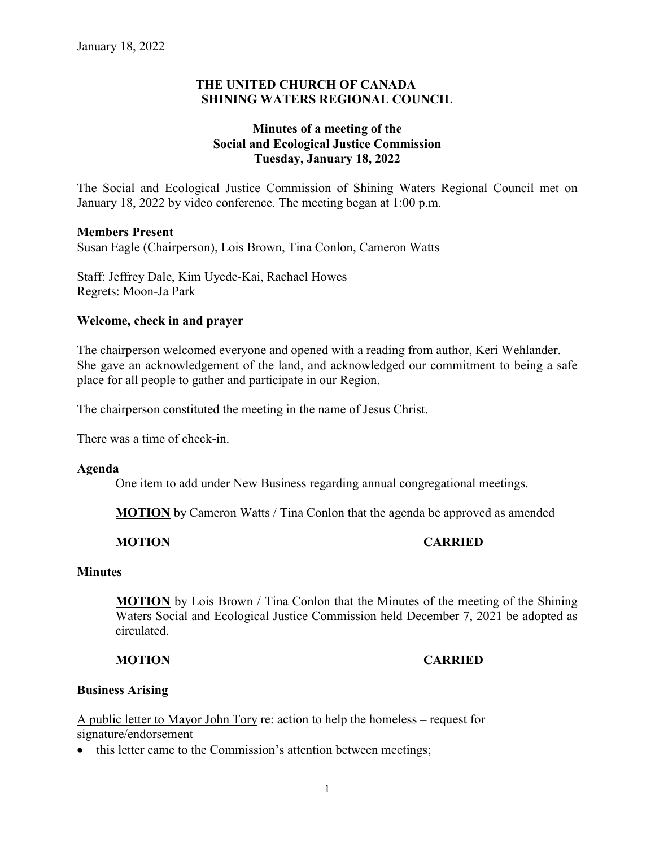## **THE UNITED CHURCH OF CANADA SHINING WATERS REGIONAL COUNCIL**

# **Minutes of a meeting of the Social and Ecological Justice Commission Tuesday, January 18, 2022**

The Social and Ecological Justice Commission of Shining Waters Regional Council met on January 18, 2022 by video conference. The meeting began at 1:00 p.m.

### **Members Present**

Susan Eagle (Chairperson), Lois Brown, Tina Conlon, Cameron Watts

Staff: Jeffrey Dale, Kim Uyede-Kai, Rachael Howes Regrets: Moon-Ja Park

### **Welcome, check in and prayer**

The chairperson welcomed everyone and opened with a reading from author, Keri Wehlander. She gave an acknowledgement of the land, and acknowledged our commitment to being a safe place for all people to gather and participate in our Region.

The chairperson constituted the meeting in the name of Jesus Christ.

There was a time of check-in.

#### **Agenda**

One item to add under New Business regarding annual congregational meetings.

**MOTION** by Cameron Watts / Tina Conlon that the agenda be approved as amended

## **MOTION CARRIED**

#### **Minutes**

**MOTION** by Lois Brown / Tina Conlon that the Minutes of the meeting of the Shining Waters Social and Ecological Justice Commission held December 7, 2021 be adopted as circulated.

## **MOTION CARRIED**

#### **Business Arising**

A public letter to Mayor John Tory re: action to help the homeless – request for signature/endorsement

• this letter came to the Commission's attention between meetings;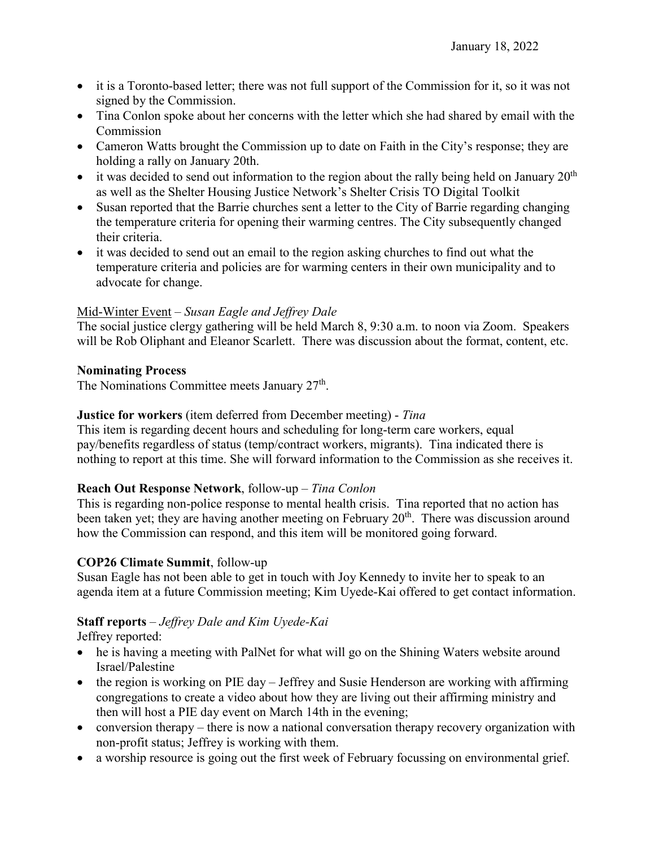- it is a Toronto-based letter; there was not full support of the Commission for it, so it was not signed by the Commission.
- Tina Conlon spoke about her concerns with the letter which she had shared by email with the Commission
- Cameron Watts brought the Commission up to date on Faith in the City's response; they are holding a rally on January 20th.
- it was decided to send out information to the region about the rally being held on January  $20<sup>th</sup>$ as well as the Shelter Housing Justice Network's Shelter Crisis TO Digital Toolkit
- Susan reported that the Barrie churches sent a letter to the City of Barrie regarding changing the temperature criteria for opening their warming centres. The City subsequently changed their criteria.
- it was decided to send out an email to the region asking churches to find out what the temperature criteria and policies are for warming centers in their own municipality and to advocate for change.

# Mid-Winter Event – *Susan Eagle and Jeffrey Dale*

The social justice clergy gathering will be held March 8, 9:30 a.m. to noon via Zoom. Speakers will be Rob Oliphant and Eleanor Scarlett. There was discussion about the format, content, etc.

## **Nominating Process**

The Nominations Committee meets January  $27<sup>th</sup>$ .

## **Justice for workers** (item deferred from December meeting) - *Tina*

This item is regarding decent hours and scheduling for long-term care workers, equal pay/benefits regardless of status (temp/contract workers, migrants). Tina indicated there is nothing to report at this time. She will forward information to the Commission as she receives it.

## **Reach Out Response Network**, follow-up – *Tina Conlon*

This is regarding non-police response to mental health crisis. Tina reported that no action has been taken yet; they are having another meeting on February  $20<sup>th</sup>$ . There was discussion around how the Commission can respond, and this item will be monitored going forward.

## **COP26 Climate Summit**, follow-up

Susan Eagle has not been able to get in touch with Joy Kennedy to invite her to speak to an agenda item at a future Commission meeting; Kim Uyede-Kai offered to get contact information.

# **Staff reports** – *Jeffrey Dale and Kim Uyede-Kai*

Jeffrey reported:

- he is having a meeting with PalNet for what will go on the Shining Waters website around Israel/Palestine
- the region is working on PIE day Jeffrey and Susie Henderson are working with affirming congregations to create a video about how they are living out their affirming ministry and then will host a PIE day event on March 14th in the evening;
- conversion therapy there is now a national conversation therapy recovery organization with non-profit status; Jeffrey is working with them.
- a worship resource is going out the first week of February focussing on environmental grief.